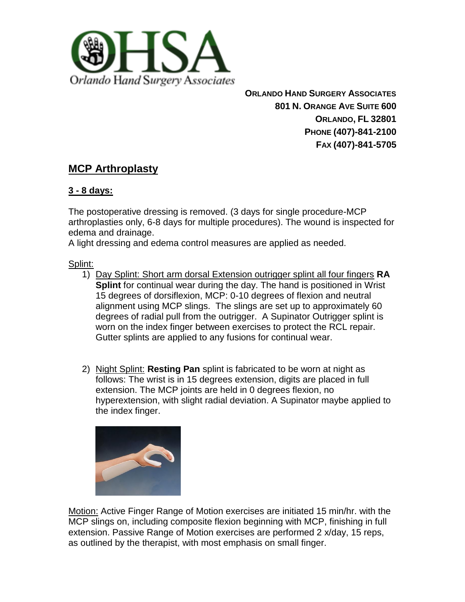

**ORLANDO HAND SURGERY ASSOCIATES 801 N. ORANGE AVE SUITE 600 ORLANDO, FL 32801 PHONE (407)-841-2100 FAX (407)-841-5705**

# **MCP Arthroplasty**

# **3 - 8 days:**

The postoperative dressing is removed. (3 days for single procedure-MCP arthroplasties only, 6-8 days for multiple procedures). The wound is inspected for edema and drainage.

A light dressing and edema control measures are applied as needed.

Splint:

- 1) Day Splint: Short arm dorsal Extension outrigger splint all four fingers **RA Splint** for continual wear during the day. The hand is positioned in Wrist 15 degrees of dorsiflexion, MCP: 0-10 degrees of flexion and neutral alignment using MCP slings. The slings are set up to approximately 60 degrees of radial pull from the outrigger. A Supinator Outrigger splint is worn on the index finger between exercises to protect the RCL repair. Gutter splints are applied to any fusions for continual wear.
- 2) Night Splint: **Resting Pan** splint is fabricated to be worn at night as follows: The wrist is in 15 degrees extension, digits are placed in full extension. The MCP joints are held in 0 degrees flexion, no hyperextension, with slight radial deviation. A Supinator maybe applied to the index finger.



Motion: Active Finger Range of Motion exercises are initiated 15 min/hr. with the MCP slings on, including composite flexion beginning with MCP, finishing in full extension. Passive Range of Motion exercises are performed 2 x/day, 15 reps, as outlined by the therapist, with most emphasis on small finger.